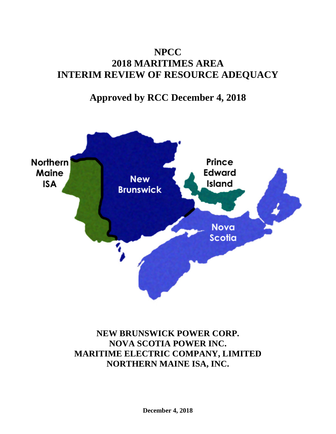## **NPCC 2018 MARITIMES AREA INTERIM REVIEW OF RESOURCE ADEQUACY**

# **Approved by RCC December 4, 2018**



## **NEW BRUNSWICK POWER CORP. NOVA SCOTIA POWER INC. MARITIME ELECTRIC COMPANY, LIMITED NORTHERN MAINE ISA, INC.**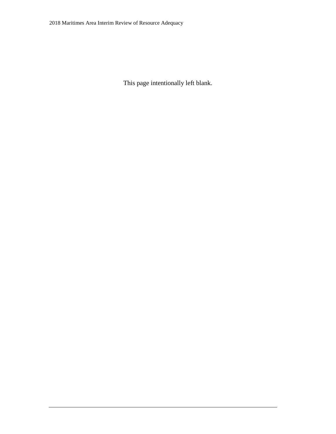This page intentionally left blank.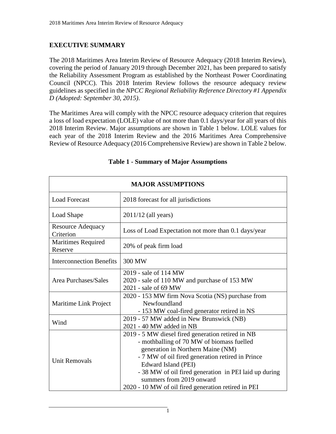## <span id="page-2-0"></span>**EXECUTIVE SUMMARY**

The 2018 Maritimes Area Interim Review of Resource Adequacy (2018 Interim Review), covering the period of January 2019 through December 2021, has been prepared to satisfy the Reliability Assessment Program as established by the Northeast Power Coordinating Council (NPCC). This 2018 Interim Review follows the resource adequacy review guidelines as specified in the *NPCC Regional Reliability Reference Directory #1 Appendix D (Adopted: September 30, 2015)*.

The Maritimes Area will comply with the NPCC resource adequacy criterion that requires a loss of load expectation (LOLE) value of not more than 0.1 days/year for all years of this 2018 Interim Review. Major assumptions are shown in Table 1 below. LOLE values for each year of the 2018 Interim Review and the 2016 Maritimes Area Comprehensive Review of Resource Adequacy (2016 Comprehensive Review) are shown in Table 2 below.

<span id="page-2-1"></span>

| <b>MAJOR ASSUMPTIONS</b>              |                                                                                                                                                                                                                                                                                                                                                            |  |  |  |
|---------------------------------------|------------------------------------------------------------------------------------------------------------------------------------------------------------------------------------------------------------------------------------------------------------------------------------------------------------------------------------------------------------|--|--|--|
| <b>Load Forecast</b>                  | 2018 forecast for all jurisdictions                                                                                                                                                                                                                                                                                                                        |  |  |  |
| Load Shape                            | $2011/12$ (all years)                                                                                                                                                                                                                                                                                                                                      |  |  |  |
| <b>Resource Adequacy</b><br>Criterion | Loss of Load Expectation not more than 0.1 days/year                                                                                                                                                                                                                                                                                                       |  |  |  |
| <b>Maritimes Required</b><br>Reserve  | 20% of peak firm load                                                                                                                                                                                                                                                                                                                                      |  |  |  |
| <b>Interconnection Benefits</b>       | 300 MW                                                                                                                                                                                                                                                                                                                                                     |  |  |  |
| Area Purchases/Sales                  | 2019 - sale of 114 MW<br>2020 - sale of 110 MW and purchase of 153 MW<br>2021 - sale of 69 MW                                                                                                                                                                                                                                                              |  |  |  |
| Maritime Link Project                 | 2020 - 153 MW firm Nova Scotia (NS) purchase from<br>Newfoundland<br>- 153 MW coal-fired generator retired in NS                                                                                                                                                                                                                                           |  |  |  |
| Wind                                  | 2019 - 57 MW added in New Brunswick (NB)<br>2021 - 40 MW added in NB                                                                                                                                                                                                                                                                                       |  |  |  |
| <b>Unit Removals</b>                  | 2019 - 5 MW diesel fired generation retired in NB<br>- mothballing of 70 MW of biomass fuelled<br>generation in Northern Maine (NM)<br>- 7 MW of oil fired generation retired in Prince<br>Edward Island (PEI)<br>- 38 MW of oil fired generation in PEI laid up during<br>summers from 2019 onward<br>2020 - 10 MW of oil fired generation retired in PEI |  |  |  |

#### **Table 1 - Summary of Major Assumptions**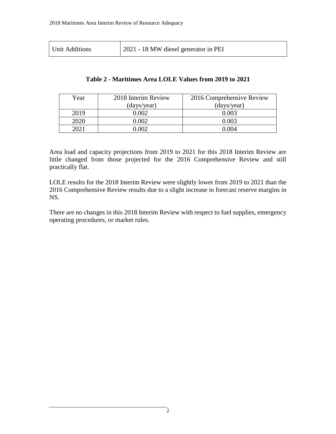| <b>Unit Additions</b> | 2021 - 18 MW diesel generator in PEI |
|-----------------------|--------------------------------------|
|-----------------------|--------------------------------------|

#### **Table 2 - Maritimes Area LOLE Values from 2019 to 2021**

<span id="page-3-0"></span>

| Year | 2018 Interim Review | 2016 Comprehensive Review |
|------|---------------------|---------------------------|
|      | (days/year)         | (days/year)               |
| 2019 |                     | 0.003                     |
| 2020 | 0.002               | 0.003                     |
|      |                     | 0 004                     |

Area load and capacity projections from 2019 to 2021 for this 2018 Interim Review are little changed from those projected for the 2016 Comprehensive Review and still practically flat.

LOLE results for the 2018 Interim Review were slightly lower from 2019 to 2021 than the 2016 Comprehensive Review results due to a slight increase in forecast reserve margins in NS.

There are no changes in this 2018 Interim Review with respect to fuel supplies, emergency operating procedures, or market rules.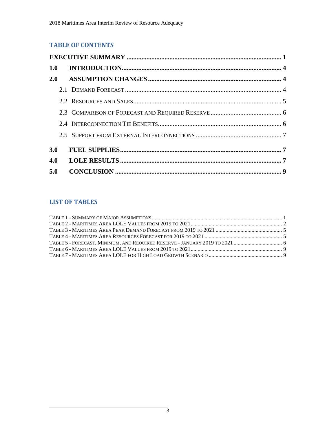## **TABLE OF CONTENTS**

| 1.0 |  |  |
|-----|--|--|
| 2.0 |  |  |
|     |  |  |
|     |  |  |
|     |  |  |
|     |  |  |
|     |  |  |
| 3.0 |  |  |
| 4.0 |  |  |
| 5.0 |  |  |

## **LIST OF TABLES**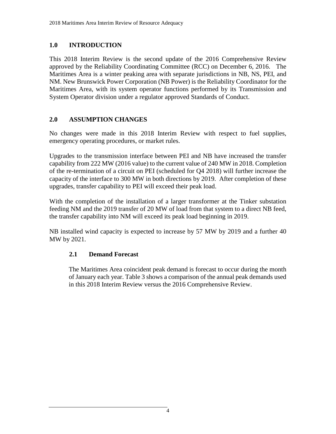## <span id="page-5-0"></span>**1.0 INTRODUCTION**

This 2018 Interim Review is the second update of the 2016 Comprehensive Review approved by the Reliability Coordinating Committee (RCC) on December 6, 2016. The Maritimes Area is a winter peaking area with separate jurisdictions in NB, NS, PEI, and NM. New Brunswick Power Corporation (NB Power) is the Reliability Coordinator for the Maritimes Area, with its system operator functions performed by its Transmission and System Operator division under a regulator approved Standards of Conduct.

## <span id="page-5-1"></span>**2.0 ASSUMPTION CHANGES**

No changes were made in this 2018 Interim Review with respect to fuel supplies, emergency operating procedures, or market rules.

Upgrades to the transmission interface between PEI and NB have increased the transfer capability from 222 MW (2016 value) to the current value of 240 MW in 2018. Completion of the re-termination of a circuit on PEI (scheduled for Q4 2018) will further increase the capacity of the interface to 300 MW in both directions by 2019. After completion of these upgrades, transfer capability to PEI will exceed their peak load.

With the completion of the installation of a larger transformer at the Tinker substation feeding NM and the 2019 transfer of 20 MW of load from that system to a direct NB feed, the transfer capability into NM will exceed its peak load beginning in 2019.

NB installed wind capacity is expected to increase by 57 MW by 2019 and a further 40 MW by 2021.

#### <span id="page-5-2"></span>**2.1 Demand Forecast**

The Maritimes Area coincident peak demand is forecast to occur during the month of January each year. Table 3 shows a comparison of the annual peak demands used in this 2018 Interim Review versus the 2016 Comprehensive Review.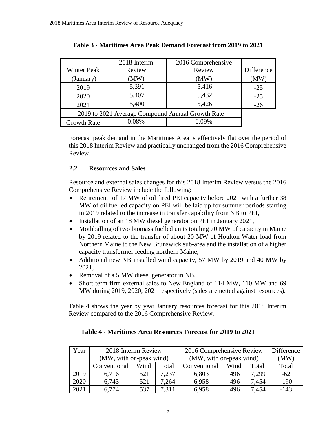<span id="page-6-1"></span>

|                    | 2018 Interim                                     | 2016 Comprehensive |            |
|--------------------|--------------------------------------------------|--------------------|------------|
| <b>Winter Peak</b> | Review                                           | Review             | Difference |
| (January)          | (MW)                                             | (MW)               | (MW)       |
| 2019               | 5,391                                            | 5,416              | $-25$      |
| 2020               | 5,407                                            | 5,432              | $-25$      |
| 2021               | 5,400                                            | 5,426              | $-26$      |
|                    | 2019 to 2021 Average Compound Annual Growth Rate |                    |            |
| <b>Growth Rate</b> | 0.08%                                            | $0.09\%$           |            |

**Table 3 - Maritimes Area Peak Demand Forecast from 2019 to 2021**

Forecast peak demand in the Maritimes Area is effectively flat over the period of this 2018 Interim Review and practically unchanged from the 2016 Comprehensive Review.

#### <span id="page-6-0"></span>**2.2 Resources and Sales**

Resource and external sales changes for this 2018 Interim Review versus the 2016 Comprehensive Review include the following:

- Retirement of 17 MW of oil fired PEI capacity before 2021 with a further 38 MW of oil fuelled capacity on PEI will be laid up for summer periods starting in 2019 related to the increase in transfer capability from NB to PEI,
- Installation of an 18 MW diesel generator on PEI in January 2021,
- Mothballing of two biomass fuelled units totaling 70 MW of capacity in Maine by 2019 related to the transfer of about 20 MW of Houlton Water load from Northern Maine to the New Brunswick sub-area and the installation of a higher capacity transformer feeding northern Maine,
- Additional new NB installed wind capacity, 57 MW by 2019 and 40 MW by 2021,
- Removal of a 5 MW diesel generator in NB,
- Short term firm external sales to New England of 114 MW, 110 MW and 69 MW during 2019, 2020, 2021 respectively (sales are netted against resources).

Table 4 shows the year by year January resources forecast for this 2018 Interim Review compared to the 2016 Comprehensive Review.

<span id="page-6-2"></span>

| Year | 2018 Interim Review |      | 2016 Comprehensive Review |                                                    |      | Difference |        |
|------|---------------------|------|---------------------------|----------------------------------------------------|------|------------|--------|
|      |                     |      |                           | (MW, with on-peak wind)<br>(MW, with on-peak wind) |      | (MW)       |        |
|      | Conventional        | Wind | Total                     | Conventional                                       | Wind | Total      | Total  |
| 2019 | 6,716               | 521  | 7,237                     | 6,803                                              | 496  | 7,299      | $-62$  |
| 2020 | 6,743               | 521  | 7.264                     | 6,958                                              | 496  | 7,454      | $-190$ |
| 2021 | 6,774               | 537  | 7.311                     | 6,958                                              | 496  | 7,454      | $-143$ |

#### **Table 4 - Maritimes Area Resources Forecast for 2019 to 2021**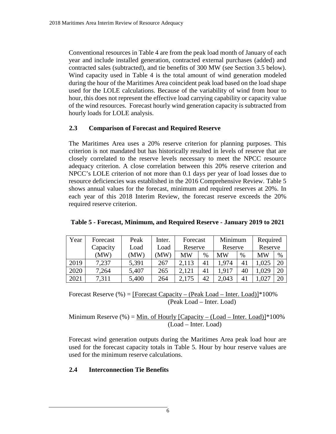Conventional resources in Table 4 are from the peak load month of January of each year and include installed generation, contracted external purchases (added) and contracted sales (subtracted), and tie benefits of 300 MW (see Section 3.5 below). Wind capacity used in Table 4 is the total amount of wind generation modeled during the hour of the Maritimes Area coincident peak load based on the load shape used for the LOLE calculations. Because of the variability of wind from hour to hour, this does not represent the effective load carrying capability or capacity value of the wind resources. Forecast hourly wind generation capacity is subtracted from hourly loads for LOLE analysis.

#### <span id="page-7-0"></span>**2.3 Comparison of Forecast and Required Reserve**

The Maritimes Area uses a 20% reserve criterion for planning purposes. This criterion is not mandated but has historically resulted in levels of reserve that are closely correlated to the reserve levels necessary to meet the NPCC resource adequacy criterion. A close correlation between this 20% reserve criterion and NPCC's LOLE criterion of not more than 0.1 days per year of load losses due to resource deficiencies was established in the 2016 Comprehensive Review. Table 5 shows annual values for the forecast, minimum and required reserves at 20%. In each year of this 2018 Interim Review, the forecast reserve exceeds the 20% required reserve criterion.

<span id="page-7-2"></span>

| Table 5 - Forecast, Minimum, and Required Reserve - January 2019 to 2021 |  |  |  |  |
|--------------------------------------------------------------------------|--|--|--|--|
|--------------------------------------------------------------------------|--|--|--|--|

| Year | Forecast | Peak  | Inter.      | Forecast |      | Minimum |      | Required |      |
|------|----------|-------|-------------|----------|------|---------|------|----------|------|
|      | Capacity | Load  | Load        | Reserve  |      | Reserve |      | Reserve  |      |
|      | (MW)     | (MW)  | $M_{\rm W}$ | MW       | $\%$ | MW      | $\%$ | MW       | $\%$ |
| 2019 | 7,237    | 5,391 | 267         | 2,113    | 41   | 1.974   | 41   | .025     | 20   |
| 2020 | 7,264    | 5,407 | 265         | 2,121    | 41   | 1,917   | 40   | .029     | 20   |
| 2021 | 7,311    | 5,400 | 264         | 2,175    | 42   | 2,043   | 41   | .027     | 20   |

Forecast Reserve  $%$  = [Forecast Capacity – (Peak Load – Inter. Load)]\*100% (Peak Load – Inter. Load)

Minimum Reserve  $%$  = Min. of Hourly [Capacity – (Load – Inter. Load)]\*100% (Load – Inter. Load)

Forecast wind generation outputs during the Maritimes Area peak load hour are used for the forecast capacity totals in Table 5. Hour by hour reserve values are used for the minimum reserve calculations.

#### <span id="page-7-1"></span>**2.4 Interconnection Tie Benefits**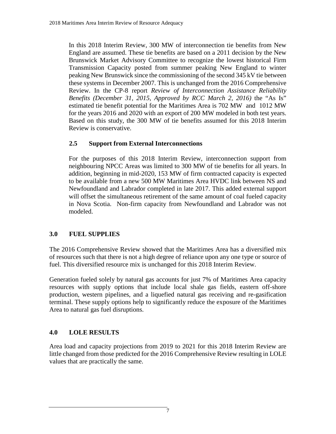In this 2018 Interim Review, 300 MW of interconnection tie benefits from New England are assumed. These tie benefits are based on a 2011 decision by the New Brunswick Market Advisory Committee to recognize the lowest historical Firm Transmission Capacity posted from summer peaking New England to winter peaking New Brunswick since the commissioning of the second 345 kV tie between these systems in December 2007. This is unchanged from the 2016 Comprehensive Review. In the CP-8 report *Review of Interconnection Assistance Reliability Benefits (December 31, 2015, Approved by RCC March 2, 2016)* the "As Is" estimated tie benefit potential for the Maritimes Area is 702 MW and 1012 MW for the years 2016 and 2020 with an export of 200 MW modeled in both test years. Based on this study, the 300 MW of tie benefits assumed for this 2018 Interim Review is conservative.

## <span id="page-8-0"></span>**2.5 Support from External Interconnections**

For the purposes of this 2018 Interim Review, interconnection support from neighbouring NPCC Areas was limited to 300 MW of tie benefits for all years. In addition, beginning in mid-2020, 153 MW of firm contracted capacity is expected to be available from a new 500 MW Maritimes Area HVDC link between NS and Newfoundland and Labrador completed in late 2017. This added external support will offset the simultaneous retirement of the same amount of coal fueled capacity in Nova Scotia. Non-firm capacity from Newfoundland and Labrador was not modeled.

## <span id="page-8-1"></span>**3.0 FUEL SUPPLIES**

The 2016 Comprehensive Review showed that the Maritimes Area has a diversified mix of resources such that there is not a high degree of reliance upon any one type or source of fuel. This diversified resource mix is unchanged for this 2018 Interim Review.

Generation fueled solely by natural gas accounts for just 7% of Maritimes Area capacity resources with supply options that include local shale gas fields, eastern off-shore production, western pipelines, and a liquefied natural gas receiving and re-gasification terminal. These supply options help to significantly reduce the exposure of the Maritimes Area to natural gas fuel disruptions.

## <span id="page-8-2"></span>**4.0 LOLE RESULTS**

Area load and capacity projections from 2019 to 2021 for this 2018 Interim Review are little changed from those predicted for the 2016 Comprehensive Review resulting in LOLE values that are practically the same.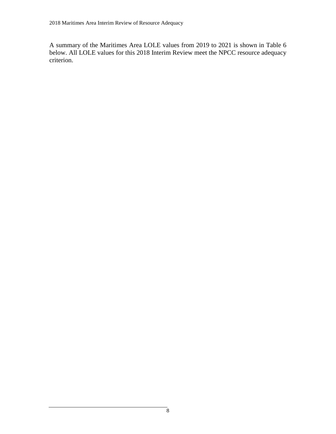A summary of the Maritimes Area LOLE values from 2019 to 2021 is shown in Table 6 below. All LOLE values for this 2018 Interim Review meet the NPCC resource adequacy criterion.